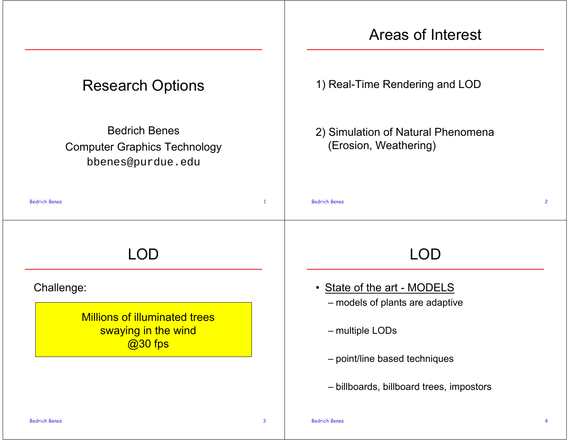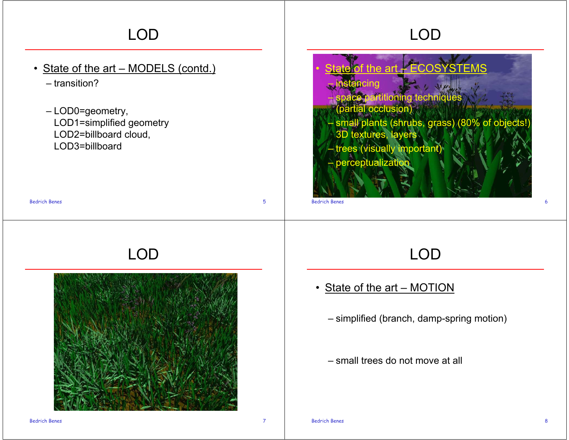# LOD

#### • State of the art – MODELS (contd.)

– transition?

– LOD0=geometry, LOD1=simplified geometry LOD2=billboard cloud, LOD3=billboard

# LOD

s to the contract of  $5$ 



# LOD

#### $\bullet$ art – ECOSY stancing  $\epsilon$  partitioning techniques (partial occlusion) – small plants (shrubs, grass) (80% of objects!) 3D textures, layers – trees (visually important) – perceptualization

Bedrich Benes $\mathsf{s}$  6

### LOD

#### • State of the art – MOTION

– simplified (branch, damp-spring motion)

– small trees do not move at all

Bedrich Benes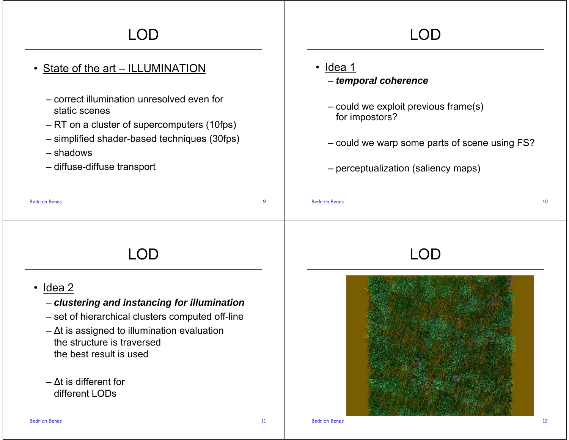# LOD

#### • State of the art – ILLUMINATION

- correct illumination unresolved even forstatic scenes
- RT on a cluster of supercomputers (10fps)
- simplified shader-based techniques (30fps)
- shadows
- diffuse-diffuse transport

# LOD

- s and the contract of the contract of the contract of the contract of the contract of the contract of the contract of the contract of the contract of the contract of the contract of the contract of the contract of the cont Bedrich Beness and the contract of  $\sim$  10  $\pm$  10  $\pm$  10  $\pm$  10  $\pm$  10  $\pm$  10  $\pm$  10  $\pm$  10  $\pm$  10  $\pm$ • Idea 1 – *temporal coherence* – could we exploit previous frame(s) for impostors? – could we warp some parts of scene using FS? – perceptualization (saliency maps) LOD
- Idea 2

Bedrich Benes

– *clustering and instancing for illumination*

LOD

- set of hierarchical clusters computed off-line
- Δt is assigned to illumination evaluation the structure is traversedthe best result is used
- Δt is different for different LODs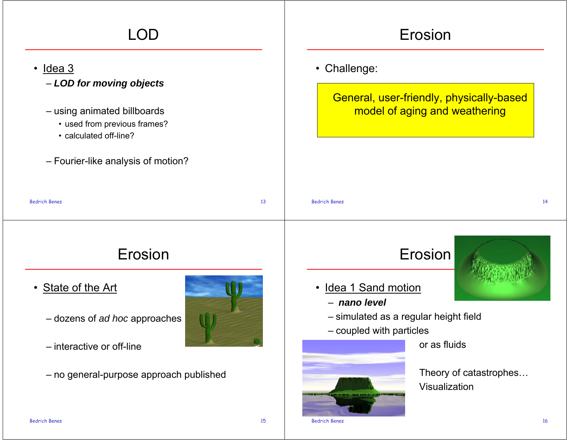| LOD                                                                                                                                                                                   | Erosion                                                                                                                                   |  |  |
|---------------------------------------------------------------------------------------------------------------------------------------------------------------------------------------|-------------------------------------------------------------------------------------------------------------------------------------------|--|--|
| <u>Idea 3</u><br>$\bullet$<br>- LOD for moving objects<br>- using animated billboards<br>• used from previous frames?<br>• calculated off-line?<br>- Fourier-like analysis of motion? | • Challenge:<br>General, user-friendly, physically-based<br>model of aging and weathering                                                 |  |  |
| <b>Bedrich Benes</b><br>13                                                                                                                                                            | <b>Bedrich Benes</b><br>14                                                                                                                |  |  |
| Erosion<br>• State of the Art<br>- dozens of ad hoc approaches<br>- interactive or off-line                                                                                           | Erosion<br><u>Idea 1 Sand motion</u><br>- nano level<br>- simulated as a regular height field<br>- coupled with particles<br>or as fluids |  |  |
| - no general-purpose approach published                                                                                                                                               | Theory of catastrophes<br>Visualization                                                                                                   |  |  |

Bedrich Benes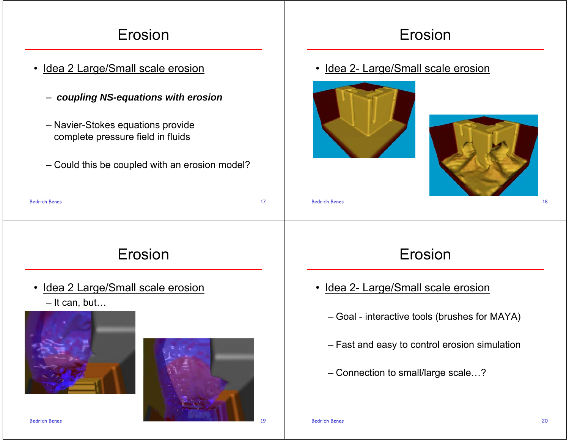# Erosion

- Idea 2 Large/Small scale erosion
	- *coupling NS-equations with erosion*
	- Navier-Stokes equations provide complete pressure field in fluids
	- Could this be coupled with an erosion model?

### Erosion

• Idea 2- Large/Small scale erosion





| <b>Bedrich Benes</b> | <b>Bedrich Benes</b> | 18 |
|----------------------|----------------------|----|
|                      |                      |    |

### Erosion

- Idea 2 Large/Small scale erosion
	- It can, but…





### Erosion

- Idea 2- Large/Small scale erosion
	- Goal interactive tools (brushes for MAYA)
	- Fast and easy to control erosion simulation
	- Connection to small/large scale…?

Bedrich Benes